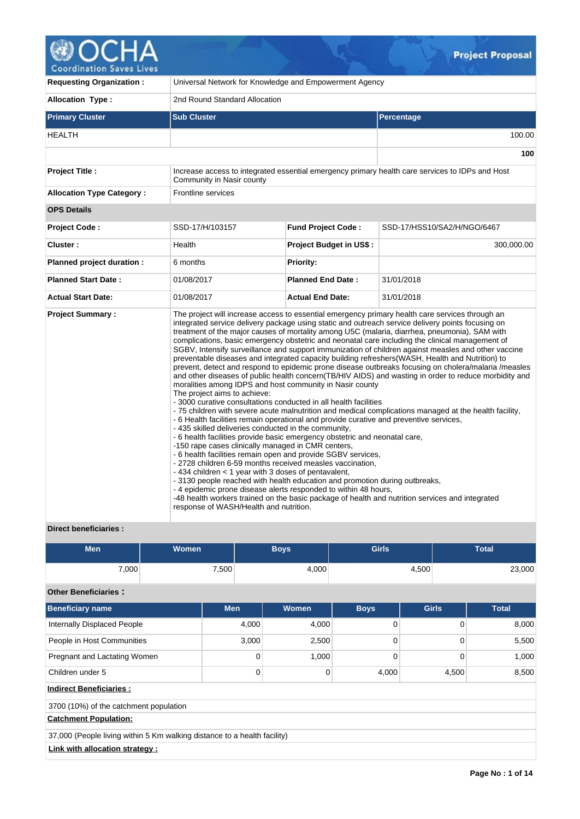

| <b>Requesting Organization:</b>  | Universal Network for Knowledge and Empowerment Agency                                                                                                                                                                                       |                                                                                                                                                                                                                                                                                                                                                                                                                                                                                                                                                                                                                                                                                                                                                                                                                                                                                                                                                                                                                                                                                                                                                                                                                                                                                                                                                                                                                                                                                                                                                                                                                                         |                                                                                                 |  |  |  |  |
|----------------------------------|----------------------------------------------------------------------------------------------------------------------------------------------------------------------------------------------------------------------------------------------|-----------------------------------------------------------------------------------------------------------------------------------------------------------------------------------------------------------------------------------------------------------------------------------------------------------------------------------------------------------------------------------------------------------------------------------------------------------------------------------------------------------------------------------------------------------------------------------------------------------------------------------------------------------------------------------------------------------------------------------------------------------------------------------------------------------------------------------------------------------------------------------------------------------------------------------------------------------------------------------------------------------------------------------------------------------------------------------------------------------------------------------------------------------------------------------------------------------------------------------------------------------------------------------------------------------------------------------------------------------------------------------------------------------------------------------------------------------------------------------------------------------------------------------------------------------------------------------------------------------------------------------------|-------------------------------------------------------------------------------------------------|--|--|--|--|
| <b>Allocation Type:</b>          | 2nd Round Standard Allocation                                                                                                                                                                                                                |                                                                                                                                                                                                                                                                                                                                                                                                                                                                                                                                                                                                                                                                                                                                                                                                                                                                                                                                                                                                                                                                                                                                                                                                                                                                                                                                                                                                                                                                                                                                                                                                                                         |                                                                                                 |  |  |  |  |
| <b>Primary Cluster</b>           | <b>Sub Cluster</b>                                                                                                                                                                                                                           |                                                                                                                                                                                                                                                                                                                                                                                                                                                                                                                                                                                                                                                                                                                                                                                                                                                                                                                                                                                                                                                                                                                                                                                                                                                                                                                                                                                                                                                                                                                                                                                                                                         | Percentage                                                                                      |  |  |  |  |
| <b>HEALTH</b>                    |                                                                                                                                                                                                                                              |                                                                                                                                                                                                                                                                                                                                                                                                                                                                                                                                                                                                                                                                                                                                                                                                                                                                                                                                                                                                                                                                                                                                                                                                                                                                                                                                                                                                                                                                                                                                                                                                                                         | 100.00                                                                                          |  |  |  |  |
|                                  |                                                                                                                                                                                                                                              |                                                                                                                                                                                                                                                                                                                                                                                                                                                                                                                                                                                                                                                                                                                                                                                                                                                                                                                                                                                                                                                                                                                                                                                                                                                                                                                                                                                                                                                                                                                                                                                                                                         | 100                                                                                             |  |  |  |  |
| <b>Project Title:</b>            | Community in Nasir county                                                                                                                                                                                                                    |                                                                                                                                                                                                                                                                                                                                                                                                                                                                                                                                                                                                                                                                                                                                                                                                                                                                                                                                                                                                                                                                                                                                                                                                                                                                                                                                                                                                                                                                                                                                                                                                                                         | Increase access to integrated essential emergency primary health care services to IDPs and Host |  |  |  |  |
| <b>Allocation Type Category:</b> | <b>Frontline services</b>                                                                                                                                                                                                                    |                                                                                                                                                                                                                                                                                                                                                                                                                                                                                                                                                                                                                                                                                                                                                                                                                                                                                                                                                                                                                                                                                                                                                                                                                                                                                                                                                                                                                                                                                                                                                                                                                                         |                                                                                                 |  |  |  |  |
| <b>OPS Details</b>               |                                                                                                                                                                                                                                              |                                                                                                                                                                                                                                                                                                                                                                                                                                                                                                                                                                                                                                                                                                                                                                                                                                                                                                                                                                                                                                                                                                                                                                                                                                                                                                                                                                                                                                                                                                                                                                                                                                         |                                                                                                 |  |  |  |  |
| <b>Project Code:</b>             | SSD-17/H/103157                                                                                                                                                                                                                              | <b>Fund Project Code:</b>                                                                                                                                                                                                                                                                                                                                                                                                                                                                                                                                                                                                                                                                                                                                                                                                                                                                                                                                                                                                                                                                                                                                                                                                                                                                                                                                                                                                                                                                                                                                                                                                               | SSD-17/HSS10/SA2/H/NGO/6467                                                                     |  |  |  |  |
| Cluster:                         | Health                                                                                                                                                                                                                                       | <b>Project Budget in US\$:</b>                                                                                                                                                                                                                                                                                                                                                                                                                                                                                                                                                                                                                                                                                                                                                                                                                                                                                                                                                                                                                                                                                                                                                                                                                                                                                                                                                                                                                                                                                                                                                                                                          | 300,000.00                                                                                      |  |  |  |  |
| Planned project duration :       | 6 months                                                                                                                                                                                                                                     | <b>Priority:</b>                                                                                                                                                                                                                                                                                                                                                                                                                                                                                                                                                                                                                                                                                                                                                                                                                                                                                                                                                                                                                                                                                                                                                                                                                                                                                                                                                                                                                                                                                                                                                                                                                        |                                                                                                 |  |  |  |  |
| <b>Planned Start Date:</b>       | 01/08/2017                                                                                                                                                                                                                                   | <b>Planned End Date:</b>                                                                                                                                                                                                                                                                                                                                                                                                                                                                                                                                                                                                                                                                                                                                                                                                                                                                                                                                                                                                                                                                                                                                                                                                                                                                                                                                                                                                                                                                                                                                                                                                                | 31/01/2018                                                                                      |  |  |  |  |
| <b>Actual Start Date:</b>        | 01/08/2017                                                                                                                                                                                                                                   | <b>Actual End Date:</b>                                                                                                                                                                                                                                                                                                                                                                                                                                                                                                                                                                                                                                                                                                                                                                                                                                                                                                                                                                                                                                                                                                                                                                                                                                                                                                                                                                                                                                                                                                                                                                                                                 | 31/01/2018                                                                                      |  |  |  |  |
| <b>Project Summary:</b>          | The project aims to achieve:<br>- 435 skilled deliveries conducted in the community,<br>-150 rape cases clinically managed in CMR centers,<br>- 434 children < 1 year with 3 doses of pentavalent,<br>response of WASH/Health and nutrition. | The project will increase access to essential emergency primary health care services through an<br>integrated service delivery package using static and outreach service delivery points focusing on<br>treatment of the major causes of mortality among U5C (malaria, diarrhea, pneumonia), SAM with<br>complications, basic emergency obstetric and neonatal care including the clinical management of<br>SGBV, Intensify surveillance and support immunization of children against measles and other vaccine<br>preventable diseases and integrated capacity building refreshers(WASH, Health and Nutrition) to<br>prevent, detect and respond to epidemic prone disease outbreaks focusing on cholera/malaria /measles<br>and other diseases of public health concern(TB/HIV AIDS) and wasting in order to reduce morbidity and<br>moralities among IDPS and host community in Nasir county<br>- 3000 curative consultations conducted in all health facilities<br>- 75 children with severe acute malnutrition and medical complications managed at the health facility,<br>- 6 Health facilities remain operational and provide curative and preventive services,<br>- 6 health facilities provide basic emergency obstetric and neonatal care,<br>- 6 health facilities remain open and provide SGBV services,<br>- 2728 children 6-59 months received measles vaccination,<br>- 3130 people reached with health education and promotion during outbreaks,<br>- 4 epidemic prone disease alerts responded to within 48 hours,<br>-48 health workers trained on the basic package of health and nutrition services and integrated |                                                                                                 |  |  |  |  |

# **Direct beneficiaries :**

| Men   | <b>Women</b> | <b>Boys</b> | <b>Girls</b> | <b>Total</b> |
|-------|--------------|-------------|--------------|--------------|
| 7,000 | 7,500        | 4,000       | 4,500        | 23,000       |

# **Other Beneficiaries :**

| <b>Beneficiary name</b>                                                  | <b>Men</b> | Women | <b>Boys</b> | <b>Girls</b> | <b>Total</b> |
|--------------------------------------------------------------------------|------------|-------|-------------|--------------|--------------|
| Internally Displaced People                                              | 4,000      | 4,000 | 0           | 0            | 8,000        |
| People in Host Communities                                               | 3,000      | 2,500 | 0           | $\Omega$     | 5,500        |
| Pregnant and Lactating Women                                             | 0          | 1,000 | 0           | 0            | 1,000        |
| Children under 5                                                         | 0          | 0     | 4,000       | 4,500        | 8,500        |
| <b>Indirect Beneficiaries:</b>                                           |            |       |             |              |              |
| 3700 (10%) of the catchment population                                   |            |       |             |              |              |
| <b>Catchment Population:</b>                                             |            |       |             |              |              |
| 37,000 (People living within 5 Km walking distance to a health facility) |            |       |             |              |              |
| Link with allocation strategy :                                          |            |       |             |              |              |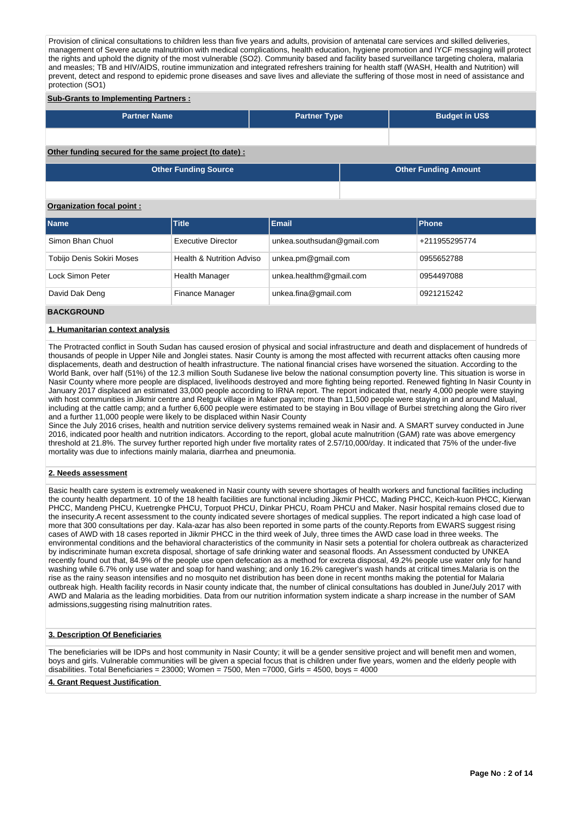Provision of clinical consultations to children less than five years and adults, provision of antenatal care services and skilled deliveries, management of Severe acute malnutrition with medical complications, health education, hygiene promotion and IYCF messaging will protect the rights and uphold the dignity of the most vulnerable (SO2). Community based and facility based surveillance targeting cholera, malaria and measles; TB and HIV/AIDS, routine immunization and integrated refreshers training for health staff (WASH, Health and Nutrition) will prevent, detect and respond to epidemic prone diseases and save lives and alleviate the suffering of those most in need of assistance and protection (SO1)

## **Sub-Grants to Implementing Partners :**

| <b>Partner Name</b>                                   | <b>Partner Type</b> | <b>Budget in US\$</b>       |
|-------------------------------------------------------|---------------------|-----------------------------|
|                                                       |                     |                             |
|                                                       |                     |                             |
|                                                       |                     |                             |
| Other funding secured for the same project (to date): |                     |                             |
| <b>Other Funding Source</b>                           |                     | <b>Other Funding Amount</b> |
|                                                       |                     |                             |

## **Organization focal point :**

| <b>Name</b>               | <b>Title</b>                         | Email                      | <b>Phone</b>  |
|---------------------------|--------------------------------------|----------------------------|---------------|
| Simon Bhan Chuol          | <b>Executive Director</b>            | unkea.southsudan@gmail.com | +211955295774 |
| Tobijo Denis Sokiri Moses | <b>Health &amp; Nutrition Adviso</b> | unkea.pm@gmail.com         | 0955652788    |
| Lock Simon Peter          | <b>Health Manager</b>                | unkea.healthm@gmail.com    | 0954497088    |
| David Dak Deng            | <b>Finance Manager</b>               | unkea.fina@gmail.com       | 0921215242    |

## **BACKGROUND**

#### **1. Humanitarian context analysis**

The Protracted conflict in South Sudan has caused erosion of physical and social infrastructure and death and displacement of hundreds of thousands of people in Upper Nile and Jonglei states. Nasir County is among the most affected with recurrent attacks often causing more displacements, death and destruction of health infrastructure. The national financial crises have worsened the situation. According to the World Bank, over half (51%) of the 12.3 million South Sudanese live below the national consumption poverty line. This situation is worse in Nasir County where more people are displaced, livelihoods destroyed and more fighting being reported. Renewed fighting In Nasir County in January 2017 displaced an estimated 33,000 people according to IRNA report. The report indicated that, nearly 4,000 people were staying with host communities in Jikmir centre and Retguk village in Maker payam; more than 11,500 people were staying in and around Malual, including at the cattle camp; and a further 6,600 people were estimated to be staying in Bou village of Burbei stretching along the Giro river and a further 11,000 people were likely to be displaced within Nasir County

Since the July 2016 crises, health and nutrition service delivery systems remained weak in Nasir and. A SMART survey conducted in June 2016, indicated poor health and nutrition indicators. According to the report, global acute malnutrition (GAM) rate was above emergency threshold at 21.8%. The survey further reported high under five mortality rates of 2.57/10,000/day. It indicated that 75% of the under-five mortality was due to infections mainly malaria, diarrhea and pneumonia.

### **2. Needs assessment**

Basic health care system is extremely weakened in Nasir county with severe shortages of health workers and functional facilities including the county health department. 10 of the 18 health facilities are functional including Jikmir PHCC, Mading PHCC, Keich-kuon PHCC, Kierwan PHCC, Mandeng PHCU, Kuetrengke PHCU, Torpuot PHCU, Dinkar PHCU, Roam PHCU and Maker. Nasir hospital remains closed due to the insecurity.A recent assessment to the county indicated severe shortages of medical supplies. The report indicated a high case load of more that 300 consultations per day. Kala-azar has also been reported in some parts of the county.Reports from EWARS suggest rising cases of AWD with 18 cases reported in Jikmir PHCC in the third week of July, three times the AWD case load in three weeks. The environmental conditions and the behavioral characteristics of the community in Nasir sets a potential for cholera outbreak as characterized by indiscriminate human excreta disposal, shortage of safe drinking water and seasonal floods. An Assessment conducted by UNKEA recently found out that, 84.9% of the people use open defecation as a method for excreta disposal, 49.2% people use water only for hand washing while 6.7% only use water and soap for hand washing; and only 16.2% caregiver's wash hands at critical times.Malaria is on the rise as the rainy season intensifies and no mosquito net distribution has been done in recent months making the potential for Malaria outbreak high. Health facility records in Nasir county indicate that, the number of clinical consultations has doubled in June/July 2017 with AWD and Malaria as the leading morbidities. Data from our nutrition information system indicate a sharp increase in the number of SAM admissions,suggesting rising malnutrition rates.

### **3. Description Of Beneficiaries**

The beneficiaries will be IDPs and host community in Nasir County; it will be a gender sensitive project and will benefit men and women, boys and girls. Vulnerable communities will be given a special focus that is children under five years, women and the elderly people with disabilities. Total Beneficiaries = 23000; Women = 7500, Men =7000, Girls = 4500, boys = 4000

## **4. Grant Request Justification**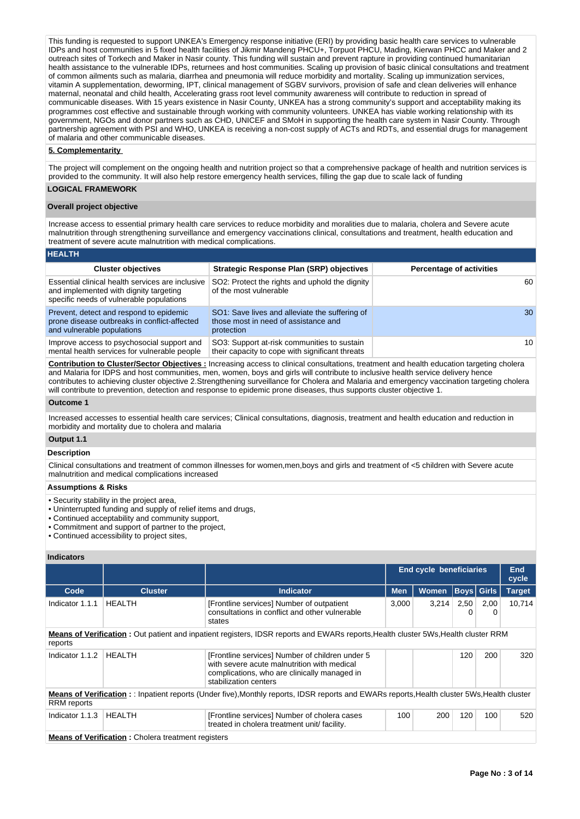This funding is requested to support UNKEA's Emergency response initiative (ERI) by providing basic health care services to vulnerable IDPs and host communities in 5 fixed health facilities of Jikmir Mandeng PHCU+, Torpuot PHCU, Mading, Kierwan PHCC and Maker and 2 outreach sites of Torkech and Maker in Nasir county. This funding will sustain and prevent rapture in providing continued humanitarian health assistance to the vulnerable IDPs, returnees and host communities. Scaling up provision of basic clinical consultations and treatment of common ailments such as malaria, diarrhea and pneumonia will reduce morbidity and mortality. Scaling up immunization services, vitamin A supplementation, deworming, IPT, clinical management of SGBV survivors, provision of safe and clean deliveries will enhance maternal, neonatal and child health, Accelerating grass root level community awareness will contribute to reduction in spread of communicable diseases. With 15 years existence in Nasir County, UNKEA has a strong community's support and acceptability making its programmes cost effective and sustainable through working with community volunteers. UNKEA has viable working relationship with its government, NGOs and donor partners such as CHD, UNICEF and SMoH in supporting the health care system in Nasir County. Through partnership agreement with PSI and WHO, UNKEA is receiving a non-cost supply of ACTs and RDTs, and essential drugs for management of malaria and other communicable diseases.

## **5. Complementarity**

The project will complement on the ongoing health and nutrition project so that a comprehensive package of health and nutrition services is provided to the community. It will also help restore emergency health services, filling the gap due to scale lack of funding **LOGICAL FRAMEWORK**

# **Overall project objective**

Increase access to essential primary health care services to reduce morbidity and moralities due to malaria, cholera and Severe acute malnutrition through strengthening surveillance and emergency vaccinations clinical, consultations and treatment, health education and treatment of severe acute malnutrition with medical complications.

|  |  | <b>HEALTH</b> |  |
|--|--|---------------|--|
|  |  |               |  |
|  |  |               |  |

| <b>Cluster objectives</b>                                                                                                              | <b>Strategic Response Plan (SRP) objectives</b>                                                      | <b>Percentage of activities</b> |
|----------------------------------------------------------------------------------------------------------------------------------------|------------------------------------------------------------------------------------------------------|---------------------------------|
| Essential clinical health services are inclusive<br>and implemented with dignity targeting<br>specific needs of vulnerable populations | SO2: Protect the rights and uphold the dignity<br>of the most vulnerable                             | 60                              |
| Prevent, detect and respond to epidemic<br>prone disease outbreaks in conflict-affected<br>and vulnerable populations                  | SO1: Save lives and alleviate the suffering of<br>those most in need of assistance and<br>protection | 30                              |
| Improve access to psychosocial support and<br>mental health services for vulnerable people                                             | SO3: Support at-risk communities to sustain<br>their capacity to cope with significant threats       | 10                              |

**Contribution to Cluster/Sector Objectives :** Increasing access to clinical consultations, treatment and health education targeting cholera and Malaria for IDPS and host communities, men, women, boys and girls will contribute to inclusive health service delivery hence contributes to achieving cluster objective 2.Strengthening surveillance for Cholera and Malaria and emergency vaccination targeting cholera will contribute to prevention, detection and response to epidemic prone diseases, thus supports cluster objective 1.

## **Outcome 1**

Increased accesses to essential health care services; Clinical consultations, diagnosis, treatment and health education and reduction in morbidity and mortality due to cholera and malaria

## **Output 1.1**

## **Description**

Clinical consultations and treatment of common illnesses for women,men,boys and girls and treatment of <5 children with Severe acute malnutrition and medical complications increased

#### **Assumptions & Risks**

- Security stability in the project area,
- Uninterrupted funding and supply of relief items and drugs,
- Continued acceptability and community support,
- Commitment and support of partner to the project,

• Continued accessibility to project sites,

## **Indicators**

|                                                                                                                                                                    |                                                           |                                                                                                                                                                         | <b>End cycle beneficiaries</b>                  |       |           | <b>End</b><br>cycle |               |  |  |  |
|--------------------------------------------------------------------------------------------------------------------------------------------------------------------|-----------------------------------------------------------|-------------------------------------------------------------------------------------------------------------------------------------------------------------------------|-------------------------------------------------|-------|-----------|---------------------|---------------|--|--|--|
| Code                                                                                                                                                               | <b>Cluster</b>                                            | <b>Indicator</b>                                                                                                                                                        | <b>Boys Girls</b><br><b>Women</b><br><b>Men</b> |       |           |                     | <b>Target</b> |  |  |  |
| Indicator 1.1.1                                                                                                                                                    | <b>HEALTH</b>                                             | [Frontline services] Number of outpatient<br>consultations in conflict and other vulnerable<br>states                                                                   | 3,000                                           | 3.214 | 2,50<br>0 | 2,00<br>0           | 10.714        |  |  |  |
| <b>Means of Verification</b> : Out patient and inpatient registers, IDSR reports and EWARs reports, Health cluster 5Ws, Health cluster RRM<br>reports              |                                                           |                                                                                                                                                                         |                                                 |       |           |                     |               |  |  |  |
| Indicator 1.1.2                                                                                                                                                    | <b>HEALTH</b>                                             | [Frontline services] Number of children under 5<br>with severe acute malnutrition with medical<br>complications, who are clinically managed in<br>stabilization centers |                                                 |       | 120       | 200                 | 320           |  |  |  |
| Means of Verification: : Inpatient reports (Under five), Monthly reports, IDSR reports and EWARs reports, Health cluster 5Ws, Health cluster<br><b>RRM</b> reports |                                                           |                                                                                                                                                                         |                                                 |       |           |                     |               |  |  |  |
| Indicator 1.1.3                                                                                                                                                    | <b>HEALTH</b>                                             | [Frontline services] Number of cholera cases<br>treated in cholera treatment unit/ facility.                                                                            | 100                                             | 200   | 120       | 100                 | 520           |  |  |  |
|                                                                                                                                                                    | <b>Means of Verification:</b> Cholera treatment registers |                                                                                                                                                                         |                                                 |       |           |                     |               |  |  |  |

**Page No : 3 of 14**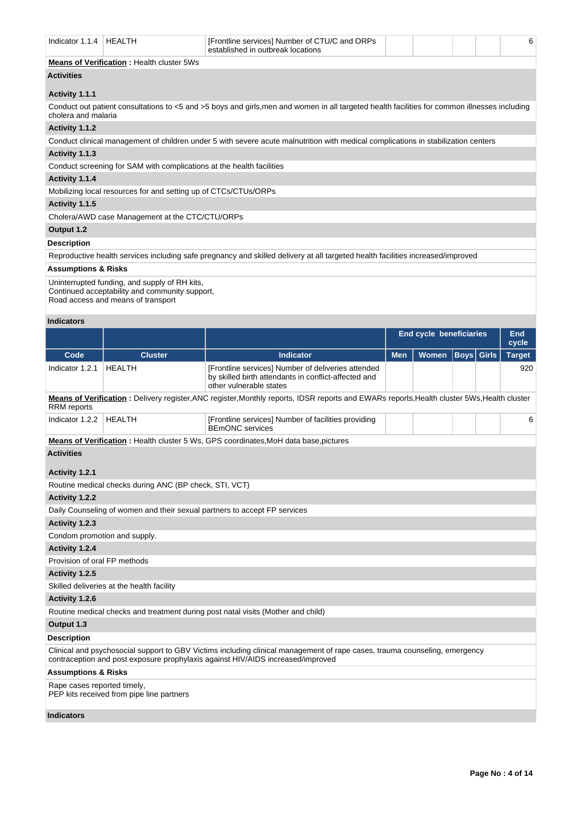| Indicator 1.1.4                                | HEALTH                                                                                                                                | [Frontline services] Number of CTU/C and ORPs<br>established in outbreak locations                                                                                                                            |            |                                |      |              | 6             |  |
|------------------------------------------------|---------------------------------------------------------------------------------------------------------------------------------------|---------------------------------------------------------------------------------------------------------------------------------------------------------------------------------------------------------------|------------|--------------------------------|------|--------------|---------------|--|
|                                                | <b>Means of Verification: Health cluster 5Ws</b>                                                                                      |                                                                                                                                                                                                               |            |                                |      |              |               |  |
| <b>Activities</b>                              |                                                                                                                                       |                                                                                                                                                                                                               |            |                                |      |              |               |  |
| Activity 1.1.1                                 |                                                                                                                                       |                                                                                                                                                                                                               |            |                                |      |              |               |  |
| cholera and malaria                            |                                                                                                                                       | Conduct out patient consultations to <5 and >5 boys and girls, men and women in all targeted health facilities for common illnesses including                                                                 |            |                                |      |              |               |  |
| Activity 1.1.2                                 |                                                                                                                                       |                                                                                                                                                                                                               |            |                                |      |              |               |  |
|                                                |                                                                                                                                       | Conduct clinical management of children under 5 with severe acute malnutrition with medical complications in stabilization centers                                                                            |            |                                |      |              |               |  |
| Activity 1.1.3                                 |                                                                                                                                       |                                                                                                                                                                                                               |            |                                |      |              |               |  |
|                                                | Conduct screening for SAM with complications at the health facilities                                                                 |                                                                                                                                                                                                               |            |                                |      |              |               |  |
| Activity 1.1.4                                 |                                                                                                                                       |                                                                                                                                                                                                               |            |                                |      |              |               |  |
|                                                | Mobilizing local resources for and setting up of CTCs/CTUs/ORPs                                                                       |                                                                                                                                                                                                               |            |                                |      |              |               |  |
| Activity 1.1.5                                 |                                                                                                                                       |                                                                                                                                                                                                               |            |                                |      |              |               |  |
|                                                | Cholera/AWD case Management at the CTC/CTU/ORPs                                                                                       |                                                                                                                                                                                                               |            |                                |      |              |               |  |
| Output 1.2                                     |                                                                                                                                       |                                                                                                                                                                                                               |            |                                |      |              |               |  |
| <b>Description</b>                             |                                                                                                                                       |                                                                                                                                                                                                               |            |                                |      |              |               |  |
|                                                |                                                                                                                                       | Reproductive health services including safe pregnancy and skilled delivery at all targeted health facilities increased/improved                                                                               |            |                                |      |              |               |  |
| <b>Assumptions &amp; Risks</b>                 |                                                                                                                                       |                                                                                                                                                                                                               |            |                                |      |              |               |  |
|                                                | Uninterrupted funding, and supply of RH kits,<br>Continued acceptability and community support,<br>Road access and means of transport |                                                                                                                                                                                                               |            |                                |      |              |               |  |
| <b>Indicators</b>                              |                                                                                                                                       |                                                                                                                                                                                                               |            |                                |      |              |               |  |
|                                                |                                                                                                                                       |                                                                                                                                                                                                               |            | <b>End cycle beneficiaries</b> |      |              | End<br>cycle  |  |
| Code                                           | <b>Cluster</b>                                                                                                                        | <b>Indicator</b>                                                                                                                                                                                              | <b>Men</b> | Women                          | Boys | <b>Girls</b> | <b>Target</b> |  |
|                                                |                                                                                                                                       |                                                                                                                                                                                                               |            |                                |      |              | 920           |  |
| Indicator 1.2.1                                | <b>HEALTH</b>                                                                                                                         | [Frontline services] Number of deliveries attended<br>by skilled birth attendants in conflict-affected and<br>other vulnerable states                                                                         |            |                                |      |              |               |  |
| RRM reports                                    |                                                                                                                                       | Means of Verification: Delivery register, ANC register, Monthly reports, IDSR reports and EWARs reports, Health cluster 5Ws, Health cluster                                                                   |            |                                |      |              |               |  |
| Indicator 1.2.2                                | <b>HEALTH</b>                                                                                                                         | [Frontline services] Number of facilities providing<br><b>BEmONC</b> services                                                                                                                                 |            |                                |      |              | 6             |  |
|                                                |                                                                                                                                       | <b>Means of Verification</b> : Health cluster 5 Ws, GPS coordinates, MoH data base, pictures                                                                                                                  |            |                                |      |              |               |  |
| <b>Activities</b>                              |                                                                                                                                       |                                                                                                                                                                                                               |            |                                |      |              |               |  |
|                                                |                                                                                                                                       |                                                                                                                                                                                                               |            |                                |      |              |               |  |
| <b>Activity 1.2.1</b>                          |                                                                                                                                       |                                                                                                                                                                                                               |            |                                |      |              |               |  |
|                                                | Routine medical checks during ANC (BP check, STI, VCT)                                                                                |                                                                                                                                                                                                               |            |                                |      |              |               |  |
| <b>Activity 1.2.2</b>                          |                                                                                                                                       |                                                                                                                                                                                                               |            |                                |      |              |               |  |
|                                                | Daily Counseling of women and their sexual partners to accept FP services                                                             |                                                                                                                                                                                                               |            |                                |      |              |               |  |
| Activity 1.2.3                                 |                                                                                                                                       |                                                                                                                                                                                                               |            |                                |      |              |               |  |
| Condom promotion and supply.                   |                                                                                                                                       |                                                                                                                                                                                                               |            |                                |      |              |               |  |
| Activity 1.2.4<br>Provision of oral FP methods |                                                                                                                                       |                                                                                                                                                                                                               |            |                                |      |              |               |  |
| Activity 1.2.5                                 |                                                                                                                                       |                                                                                                                                                                                                               |            |                                |      |              |               |  |
|                                                | Skilled deliveries at the health facility                                                                                             |                                                                                                                                                                                                               |            |                                |      |              |               |  |
| Activity 1.2.6                                 |                                                                                                                                       |                                                                                                                                                                                                               |            |                                |      |              |               |  |
|                                                |                                                                                                                                       | Routine medical checks and treatment during post natal visits (Mother and child)                                                                                                                              |            |                                |      |              |               |  |
| Output 1.3                                     |                                                                                                                                       |                                                                                                                                                                                                               |            |                                |      |              |               |  |
| <b>Description</b>                             |                                                                                                                                       |                                                                                                                                                                                                               |            |                                |      |              |               |  |
|                                                |                                                                                                                                       | Clinical and psychosocial support to GBV Victims including clinical management of rape cases, trauma counseling, emergency<br>contraception and post exposure prophylaxis against HIV/AIDS increased/improved |            |                                |      |              |               |  |
| <b>Assumptions &amp; Risks</b>                 |                                                                                                                                       |                                                                                                                                                                                                               |            |                                |      |              |               |  |
| Rape cases reported timely,                    | PEP kits received from pipe line partners                                                                                             |                                                                                                                                                                                                               |            |                                |      |              |               |  |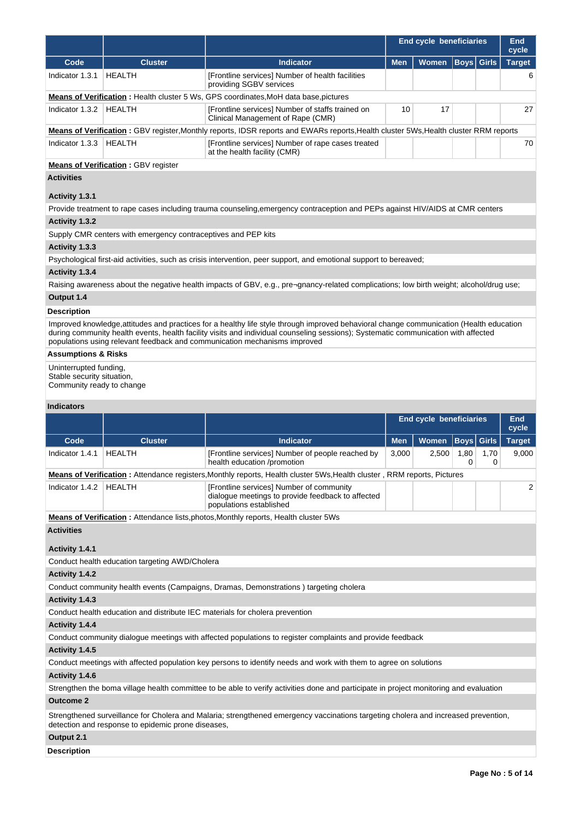|                       |                                                               |                                                                                                                                      | End cycle beneficiaries |       |  | <b>End</b><br>cycle |               |
|-----------------------|---------------------------------------------------------------|--------------------------------------------------------------------------------------------------------------------------------------|-------------------------|-------|--|---------------------|---------------|
| Code                  | <b>Cluster</b>                                                | <b>Indicator</b>                                                                                                                     | <b>Men</b>              | Women |  | <b>Boys Girls</b>   | <b>Target</b> |
| Indicator 1.3.1       | <b>HEALTH</b>                                                 | [Frontline services] Number of health facilities<br>providing SGBV services                                                          |                         |       |  |                     | 6             |
|                       |                                                               | <b>Means of Verification</b> : Health cluster 5 Ws, GPS coordinates, MoH data base, pictures                                         |                         |       |  |                     |               |
| Indicator 1.3.2       | HEALTH                                                        | [Frontline services] Number of staffs trained on<br>Clinical Management of Rape (CMR)                                                | 10                      | 17    |  |                     | 27            |
|                       |                                                               | Means of Verification: GBV register, Monthly reports, IDSR reports and EWARs reports, Health cluster 5Ws, Health cluster RRM reports |                         |       |  |                     |               |
| Indicator 1.3.3       | HEALTH                                                        | [Frontline services] Number of rape cases treated<br>at the health facility (CMR)                                                    |                         |       |  |                     | 70            |
|                       | <b>Means of Verification: GBV register</b>                    |                                                                                                                                      |                         |       |  |                     |               |
| <b>Activities</b>     |                                                               |                                                                                                                                      |                         |       |  |                     |               |
| Activity 1.3.1        |                                                               |                                                                                                                                      |                         |       |  |                     |               |
|                       |                                                               | Provide treatment to rape cases including trauma counseling, emergency contraception and PEPs against HIV/AIDS at CMR centers        |                         |       |  |                     |               |
| <b>Activity 1.3.2</b> |                                                               |                                                                                                                                      |                         |       |  |                     |               |
|                       | Supply CMR centers with emergency contraceptives and PEP kits |                                                                                                                                      |                         |       |  |                     |               |
| Activity 1.3.3        |                                                               |                                                                                                                                      |                         |       |  |                     |               |

Psychological first-aid activities, such as crisis intervention, peer support, and emotional support to bereaved;

## **Activity 1.3.4**

Raising awareness about the negative health impacts of GBV, e.g., pre¬gnancy-related complications; low birth weight; alcohol/drug use;

# **Output 1.4**

## **Description**

Improved knowledge,attitudes and practices for a healthy life style through improved behavioral change communication (Health education during community health events, health facility visits and individual counseling sessions); Systematic communication with affected populations using relevant feedback and communication mechanisms improved

# **Assumptions & Risks**

Uninterrupted funding, Stable security situation, Community ready to change

## **Indicators**

|                   |                                                    |                                                                                                                                        |            | <b>End cycle beneficiaries</b> |           |           | <b>End</b><br>cycle |
|-------------------|----------------------------------------------------|----------------------------------------------------------------------------------------------------------------------------------------|------------|--------------------------------|-----------|-----------|---------------------|
| Code              | <b>Cluster</b>                                     | <b>Indicator</b>                                                                                                                       | <b>Men</b> | Women   Boys   Girls           |           |           | <b>Target</b>       |
| Indicator 1.4.1   | <b>HEALTH</b>                                      | [Frontline services] Number of people reached by<br>health education /promotion                                                        | 3,000      | 2,500                          | 1,80<br>0 | 1.70<br>0 | 9,000               |
|                   |                                                    | Means of Verification: Attendance registers, Monthly reports, Health cluster 5Ws, Health cluster, RRM reports, Pictures                |            |                                |           |           |                     |
| Indicator 1.4.2   | <b>HEALTH</b>                                      | [Frontline services] Number of community<br>dialogue meetings to provide feedback to affected<br>populations established               |            |                                |           |           | 2                   |
|                   |                                                    | <b>Means of Verification:</b> Attendance lists, photos, Monthly reports, Health cluster 5Ws                                            |            |                                |           |           |                     |
| <b>Activities</b> |                                                    |                                                                                                                                        |            |                                |           |           |                     |
| Activity 1.4.1    |                                                    |                                                                                                                                        |            |                                |           |           |                     |
|                   | Conduct health education targeting AWD/Cholera     |                                                                                                                                        |            |                                |           |           |                     |
| Activity 1.4.2    |                                                    |                                                                                                                                        |            |                                |           |           |                     |
|                   |                                                    | Conduct community health events (Campaigns, Dramas, Demonstrations) targeting cholera                                                  |            |                                |           |           |                     |
| Activity 1.4.3    |                                                    |                                                                                                                                        |            |                                |           |           |                     |
|                   |                                                    | Conduct health education and distribute IEC materials for cholera prevention                                                           |            |                                |           |           |                     |
| Activity 1.4.4    |                                                    |                                                                                                                                        |            |                                |           |           |                     |
|                   |                                                    | Conduct community dialogue meetings with affected populations to register complaints and provide feedback                              |            |                                |           |           |                     |
| Activity 1.4.5    |                                                    |                                                                                                                                        |            |                                |           |           |                     |
|                   |                                                    | Conduct meetings with affected population key persons to identify needs and work with them to agree on solutions                       |            |                                |           |           |                     |
| Activity 1.4.6    |                                                    |                                                                                                                                        |            |                                |           |           |                     |
|                   |                                                    | Strengthen the boma village health committee to be able to verify activities done and participate in project monitoring and evaluation |            |                                |           |           |                     |
| <b>Outcome 2</b>  |                                                    |                                                                                                                                        |            |                                |           |           |                     |
|                   | detection and response to epidemic prone diseases, | Strengthened surveillance for Cholera and Malaria; strengthened emergency vaccinations targeting cholera and increased prevention,     |            |                                |           |           |                     |
| Output 2.1        |                                                    |                                                                                                                                        |            |                                |           |           |                     |

## **Description**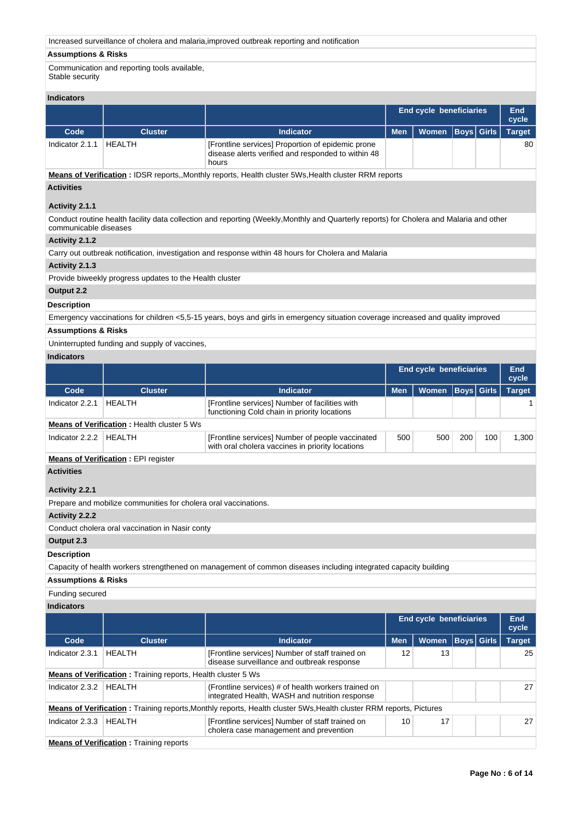| Increased surveillance of cholera and malaria, improved outbreak reporting and notification |  |  |  |
|---------------------------------------------------------------------------------------------|--|--|--|
|                                                                                             |  |  |  |

# **Assumptions & Risks**

Communication and reporting tools available, Stable security

# **Indicators**

| inuivatvi ə     |                |                                                                                                                  |            |                                |  |               |
|-----------------|----------------|------------------------------------------------------------------------------------------------------------------|------------|--------------------------------|--|---------------|
|                 |                |                                                                                                                  |            | <b>End cycle beneficiaries</b> |  | End<br>cycle  |
| Code            | <b>Cluster</b> | <b>Indicator</b>                                                                                                 | <b>Men</b> | Women   Boys   Girls           |  | <b>Target</b> |
| Indicator 2.1.1 | HEALTH         | [Frontline services] Proportion of epidemic prone<br>disease alerts verified and responded to within 48<br>hours |            |                                |  | 80            |

**Means of Verification :** IDSR reports,,Monthly reports, Health cluster 5Ws,Health cluster RRM reports

# **Activities**

# **Activity 2.1.1**

Conduct routine health facility data collection and reporting (Weekly,Monthly and Quarterly reports) for Cholera and Malaria and other communicable diseases

# **Activity 2.1.2**

Carry out outbreak notification, investigation and response within 48 hours for Cholera and Malaria

# **Activity 2.1.3**

Provide biweekly progress updates to the Health cluster

# **Output 2.2**

# **Description**

Emergency vaccinations for children <5,5-15 years, boys and girls in emergency situation coverage increased and quality improved

# **Assumptions & Risks**

Uninterrupted funding and supply of vaccines,

# **Indicators**

|                                                                                                                 |                                                                                                                       |                                                                                                |            | <b>End cycle beneficiaries</b> |                   |     | End<br>cycle  |  |  |
|-----------------------------------------------------------------------------------------------------------------|-----------------------------------------------------------------------------------------------------------------------|------------------------------------------------------------------------------------------------|------------|--------------------------------|-------------------|-----|---------------|--|--|
| Code                                                                                                            | <b>Cluster</b>                                                                                                        | <b>Indicator</b>                                                                               | <b>Men</b> | <b>Women</b>                   | <b>Boys</b> Girls |     | <b>Target</b> |  |  |
| Indicator 2.2.1                                                                                                 | <b>HEALTH</b>                                                                                                         | [Frontline services] Number of facilities with<br>functioning Cold chain in priority locations |            |                                |                   |     |               |  |  |
| <b>Means of Verification: Health cluster 5 Ws</b>                                                               |                                                                                                                       |                                                                                                |            |                                |                   |     |               |  |  |
| Indicator 2.2.2                                                                                                 | <b>HEALTH</b><br>[Frontline services] Number of people vaccinated<br>with oral cholera vaccines in priority locations |                                                                                                |            |                                | 200               | 100 | 1,300         |  |  |
| <b>Means of Verification: EPI register</b>                                                                      |                                                                                                                       |                                                                                                |            |                                |                   |     |               |  |  |
| <b>Activities</b>                                                                                               |                                                                                                                       |                                                                                                |            |                                |                   |     |               |  |  |
| Activity 2.2.1                                                                                                  |                                                                                                                       |                                                                                                |            |                                |                   |     |               |  |  |
|                                                                                                                 | Prepare and mobilize communities for cholera oral vaccinations.                                                       |                                                                                                |            |                                |                   |     |               |  |  |
| <b>Activity 2.2.2</b>                                                                                           |                                                                                                                       |                                                                                                |            |                                |                   |     |               |  |  |
|                                                                                                                 | Conduct cholera oral vaccination in Nasir conty                                                                       |                                                                                                |            |                                |                   |     |               |  |  |
| Output 2.3                                                                                                      |                                                                                                                       |                                                                                                |            |                                |                   |     |               |  |  |
| <b>Description</b>                                                                                              |                                                                                                                       |                                                                                                |            |                                |                   |     |               |  |  |
| Capacity of health workers strengthened on management of common diseases including integrated capacity building |                                                                                                                       |                                                                                                |            |                                |                   |     |               |  |  |

# **Assumptions & Risks**

# Funding secured

**Indicators**

|                                                              |                |                                                                                                                            |            | <b>End cycle beneficiaries</b> |  |             | <b>End</b><br>cycle |  |  |
|--------------------------------------------------------------|----------------|----------------------------------------------------------------------------------------------------------------------------|------------|--------------------------------|--|-------------|---------------------|--|--|
| Code                                                         | <b>Cluster</b> | <b>Indicator</b>                                                                                                           | <b>Men</b> | <b>Women</b>                   |  | Boys  Girls | <b>Target</b>       |  |  |
| Indicator 2.3.1                                              | <b>HFAITH</b>  | [Frontline services] Number of staff trained on<br>disease surveillance and outbreak response                              | 12         | 13                             |  |             | 25                  |  |  |
| Means of Verification: Training reports, Health cluster 5 Ws |                |                                                                                                                            |            |                                |  |             |                     |  |  |
| Indicator 2.3.2                                              | HEALTH         | (Frontline services) # of health workers trained on<br>integrated Health, WASH and nutrition response                      |            |                                |  |             | 27                  |  |  |
|                                                              |                | <b>Means of Verification</b> : Training reports, Monthly reports, Health cluster 5Ws, Health cluster RRM reports, Pictures |            |                                |  |             |                     |  |  |
| Indicator 2.3.3                                              | HFAI TH        | [Frontline services] Number of staff trained on<br>cholera case management and prevention                                  | 10         | 17                             |  |             | 27                  |  |  |
| <b>Means of Verification:</b> Training reports               |                |                                                                                                                            |            |                                |  |             |                     |  |  |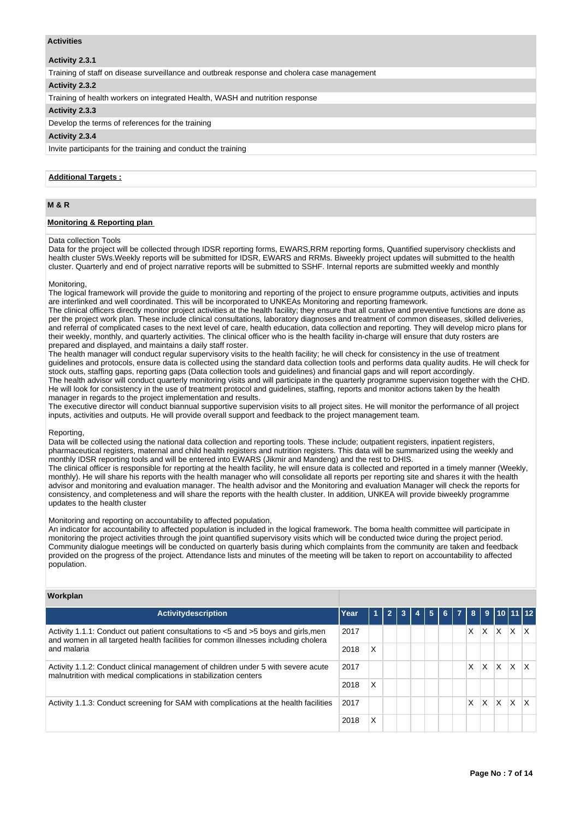## **Activities**

## **Activity 2.3.1**

Training of staff on disease surveillance and outbreak response and cholera case management

#### **Activity 2.3.2**

Training of health workers on integrated Health, WASH and nutrition response

## **Activity 2.3.3**

Develop the terms of references for the training

#### **Activity 2.3.4**

Invite participants for the training and conduct the training

## **Additional Targets :**

# **M & R**

### **Monitoring & Reporting plan**

#### Data collection Tools

Data for the project will be collected through IDSR reporting forms, EWARS,RRM reporting forms, Quantified supervisory checklists and health cluster 5Ws.Weekly reports will be submitted for IDSR, EWARS and RRMs. Biweekly project updates will submitted to the health cluster. Quarterly and end of project narrative reports will be submitted to SSHF. Internal reports are submitted weekly and monthly

#### Monitoring,

The logical framework will provide the guide to monitoring and reporting of the project to ensure programme outputs, activities and inputs are interlinked and well coordinated. This will be incorporated to UNKEAs Monitoring and reporting framework.

The clinical officers directly monitor project activities at the health facility; they ensure that all curative and preventive functions are done as per the project work plan. These include clinical consultations, laboratory diagnoses and treatment of common diseases, skilled deliveries, and referral of complicated cases to the next level of care, health education, data collection and reporting. They will develop micro plans for their weekly, monthly, and quarterly activities. The clinical officer who is the health facility in-charge will ensure that duty rosters are prepared and displayed, and maintains a daily staff roster.

The health manager will conduct regular supervisory visits to the health facility; he will check for consistency in the use of treatment guidelines and protocols, ensure data is collected using the standard data collection tools and performs data quality audits. He will check for stock outs, staffing gaps, reporting gaps (Data collection tools and guidelines) and financial gaps and will report accordingly. The health advisor will conduct quarterly monitoring visits and will participate in the quarterly programme supervision together with the CHD. He will look for consistency in the use of treatment protocol and guidelines, staffing, reports and monitor actions taken by the health manager in regards to the project implementation and results.

The executive director will conduct biannual supportive supervision visits to all project sites. He will monitor the performance of all project inputs, activities and outputs. He will provide overall support and feedback to the project management team.

## Reporting,

Data will be collected using the national data collection and reporting tools. These include; outpatient registers, inpatient registers, pharmaceutical registers, maternal and child health registers and nutrition registers. This data will be summarized using the weekly and monthly IDSR reporting tools and will be entered into EWARS (Jikmir and Mandeng) and the rest to DHIS.

The clinical officer is responsible for reporting at the health facility, he will ensure data is collected and reported in a timely manner (Weekly, monthly). He will share his reports with the health manager who will consolidate all reports per reporting site and shares it with the health advisor and monitoring and evaluation manager. The health advisor and the Monitoring and evaluation Manager will check the reports for consistency, and completeness and will share the reports with the health cluster. In addition, UNKEA will provide biweekly programme updates to the health cluster

#### Monitoring and reporting on accountability to affected population,

An indicator for accountability to affected population is included in the logical framework. The boma health committee will participate in monitoring the project activities through the joint quantified supervisory visits which will be conducted twice during the project period. Community dialogue meetings will be conducted on quarterly basis during which complaints from the community are taken and feedback provided on the progress of the project. Attendance lists and minutes of the meeting will be taken to report on accountability to affected population.

| Workplan                                                                                                                                                                 |      |   |                |   |    |                |                |                |   |   |                |          |
|--------------------------------------------------------------------------------------------------------------------------------------------------------------------------|------|---|----------------|---|----|----------------|----------------|----------------|---|---|----------------|----------|
| <b>Activitydescription</b>                                                                                                                                               | Year | 1 | $\overline{2}$ | 3 | -5 | 6 <sup>1</sup> | $\overline{7}$ | 8 <sup>1</sup> |   |   | ⊦9  10  11  12 |          |
| Activity 1.1.1: Conduct out patient consultations to <5 and >5 boys and girls, men<br>and women in all targeted health facilities for common illnesses including cholera | 2017 |   |                |   |    |                |                | X.             | X | X | X              | IX.      |
| and malaria                                                                                                                                                              | 2018 | X |                |   |    |                |                |                |   |   |                |          |
| Activity 1.1.2: Conduct clinical management of children under 5 with severe acute<br>malnutrition with medical complications in stabilization centers                    | 2017 |   |                |   |    |                |                | X              | X | X | X              | <b>X</b> |
|                                                                                                                                                                          | 2018 | X |                |   |    |                |                |                |   |   |                |          |
| Activity 1.1.3: Conduct screening for SAM with complications at the health facilities                                                                                    | 2017 |   |                |   |    |                |                | X.             | X | X | X              | lx.      |
|                                                                                                                                                                          | 2018 | X |                |   |    |                |                |                |   |   |                |          |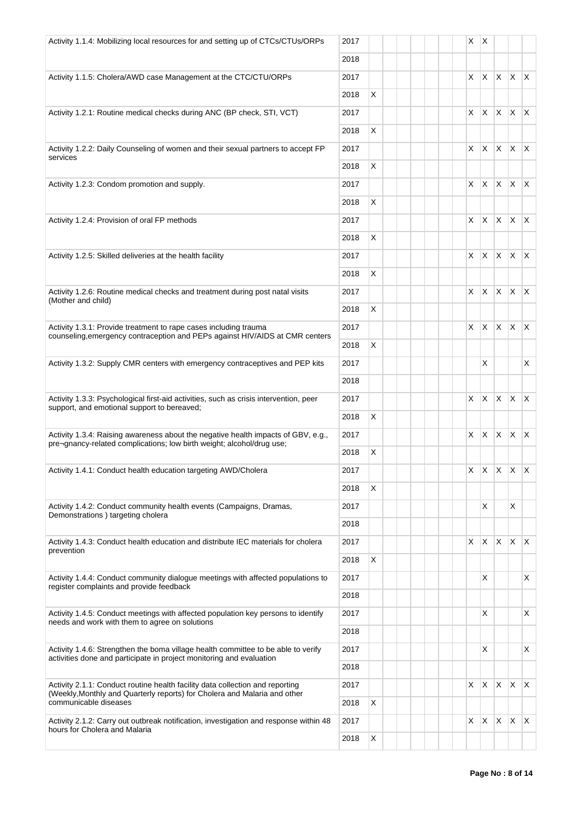| Activity 1.1.4: Mobilizing local resources for and setting up of CTCs/CTUs/ORPs                    | 2017 |   |  |  | $X \mid X$ |            |                                 |              |              |
|----------------------------------------------------------------------------------------------------|------|---|--|--|------------|------------|---------------------------------|--------------|--------------|
|                                                                                                    | 2018 |   |  |  |            |            |                                 |              |              |
| Activity 1.1.5: Cholera/AWD case Management at the CTC/CTU/ORPs                                    | 2017 |   |  |  |            | $X \mid X$ | $X \mid X \mid X$               |              |              |
|                                                                                                    | 2018 | X |  |  |            |            |                                 |              |              |
| Activity 1.2.1: Routine medical checks during ANC (BP check, STI, VCT)                             | 2017 |   |  |  |            | $X \mid X$ | $ X $ $ X $                     |              |              |
|                                                                                                    | 2018 | X |  |  |            |            |                                 |              |              |
| Activity 1.2.2: Daily Counseling of women and their sexual partners to accept FP                   | 2017 |   |  |  | $\times$   | X          | X.                              | $x \times$   |              |
| services                                                                                           | 2018 | X |  |  |            |            |                                 |              |              |
| Activity 1.2.3: Condom promotion and supply.                                                       | 2017 |   |  |  |            | $X \mid X$ | X.                              | $X$ $X$      |              |
|                                                                                                    | 2018 | X |  |  |            |            |                                 |              |              |
| Activity 1.2.4: Provision of oral FP methods                                                       | 2017 |   |  |  |            | X X        | $x \mid x \mid x$               |              |              |
|                                                                                                    | 2018 | X |  |  |            |            |                                 |              |              |
| Activity 1.2.5: Skilled deliveries at the health facility                                          | 2017 |   |  |  |            | X X        | X.                              | $x \mid x$   |              |
|                                                                                                    | 2018 | X |  |  |            |            |                                 |              |              |
| Activity 1.2.6: Routine medical checks and treatment during post natal visits                      | 2017 |   |  |  | X.         | X          | <b>X</b>                        | $\mathsf{X}$ | $\mathsf{X}$ |
| (Mother and child)                                                                                 | 2018 | X |  |  |            |            |                                 |              |              |
| Activity 1.3.1: Provide treatment to rape cases including trauma                                   | 2017 |   |  |  | X.         | X          | $\mathsf{X}$                    | $\mathsf{X}$ | $\mathsf{X}$ |
| counseling, emergency contraception and PEPs against HIV/AIDS at CMR centers                       | 2018 | X |  |  |            |            |                                 |              |              |
| Activity 1.3.2: Supply CMR centers with emergency contraceptives and PEP kits                      | 2017 |   |  |  |            | X          |                                 |              | X            |
|                                                                                                    | 2018 |   |  |  |            |            |                                 |              |              |
| Activity 1.3.3: Psychological first-aid activities, such as crisis intervention, peer              | 2017 |   |  |  | X I        | X.         | $\mathsf{X}$                    | $X$ $X$      |              |
| support, and emotional support to bereaved;                                                        | 2018 | X |  |  |            |            |                                 |              |              |
| Activity 1.3.4: Raising awareness about the negative health impacts of GBV, e.g.,                  | 2017 |   |  |  | X.         | X.         | $\mathsf{X}$                    | $X$ $X$      |              |
| pre-gnancy-related complications; low birth weight; alcohol/drug use;                              | 2018 | X |  |  |            |            |                                 |              |              |
| Activity 1.4.1: Conduct health education targeting AWD/Cholera                                     | 2017 |   |  |  |            |            | $x \mid x \mid x \mid x \mid x$ |              |              |
|                                                                                                    | 2018 | X |  |  |            |            |                                 |              |              |
| Activity 1.4.2: Conduct community health events (Campaigns, Dramas,                                | 2017 |   |  |  |            | X          |                                 | X            |              |
| Demonstrations) targeting cholera                                                                  |      |   |  |  |            |            |                                 |              |              |
|                                                                                                    | 2018 |   |  |  |            |            |                                 | $\mathsf{X}$ | $\mathsf{X}$ |
| Activity 1.4.3: Conduct health education and distribute IEC materials for cholera                  | 2017 |   |  |  | X.         | X          | X                               |              |              |
| prevention                                                                                         | 2018 | X |  |  |            |            |                                 |              |              |
| Activity 1.4.4: Conduct community dialogue meetings with affected populations to                   | 2017 |   |  |  |            | X          |                                 |              | X            |
| register complaints and provide feedback                                                           | 2018 |   |  |  |            |            |                                 |              |              |
| Activity 1.4.5: Conduct meetings with affected population key persons to identify                  | 2017 |   |  |  |            | X          |                                 |              | X            |
| needs and work with them to agree on solutions                                                     | 2018 |   |  |  |            |            |                                 |              |              |
| Activity 1.4.6: Strengthen the boma village health committee to be able to verify                  | 2017 |   |  |  |            | X          |                                 |              | X            |
| activities done and participate in project monitoring and evaluation                               | 2018 |   |  |  |            |            |                                 |              |              |
| Activity 2.1.1: Conduct routine health facility data collection and reporting                      | 2017 |   |  |  | X.         | X.         | X.                              | X            | $\mathsf{X}$ |
| (Weekly, Monthly and Quarterly reports) for Cholera and Malaria and other<br>communicable diseases | 2018 | X |  |  |            |            |                                 |              |              |
| Activity 2.1.2: Carry out outbreak notification, investigation and response within 48              | 2017 |   |  |  | X          | X          | $\mathsf{X}$                    | $\mathsf{X}$ | $\mathsf{X}$ |
| hours for Cholera and Malaria                                                                      | 2018 | X |  |  |            |            |                                 |              |              |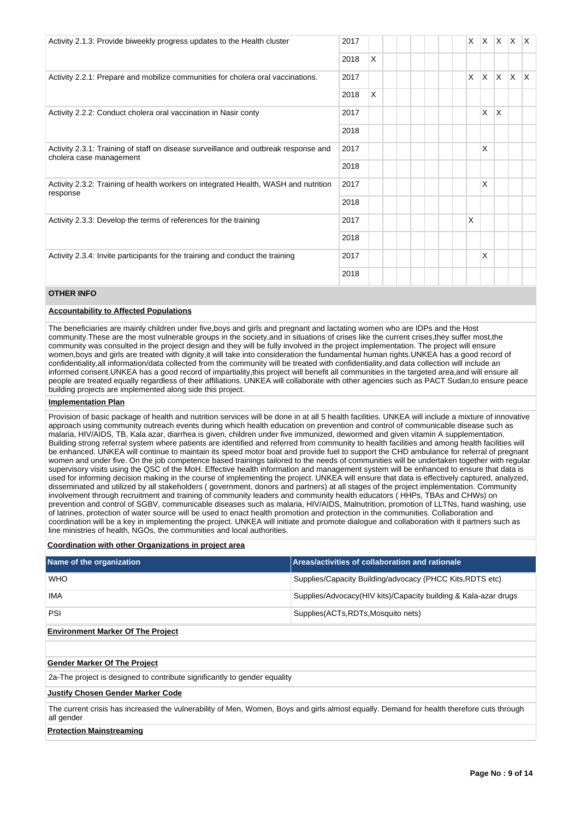| Activity 2.1.3: Provide biweekly progress updates to the Health cluster                                        |      |   |  | X. |   | $x \times x$ |              |              |
|----------------------------------------------------------------------------------------------------------------|------|---|--|----|---|--------------|--------------|--------------|
|                                                                                                                | 2018 | X |  |    |   |              |              |              |
| Activity 2.2.1: Prepare and mobilize communities for cholera oral vaccinations.                                | 2017 |   |  | X. |   | $X$ $X$      | $\mathsf{X}$ | $\mathsf{X}$ |
|                                                                                                                | 2018 | X |  |    |   |              |              |              |
| Activity 2.2.2: Conduct cholera oral vaccination in Nasir conty                                                | 2017 |   |  |    | X | X            |              |              |
|                                                                                                                | 2018 |   |  |    |   |              |              |              |
| Activity 2.3.1: Training of staff on disease surveillance and outbreak response and<br>cholera case management | 2017 |   |  |    | X |              |              |              |
|                                                                                                                | 2018 |   |  |    |   |              |              |              |
| Activity 2.3.2: Training of health workers on integrated Health, WASH and nutrition<br>response                | 2017 |   |  |    | X |              |              |              |
|                                                                                                                | 2018 |   |  |    |   |              |              |              |
| Activity 2.3.3: Develop the terms of references for the training                                               | 2017 |   |  | X  |   |              |              |              |
|                                                                                                                | 2018 |   |  |    |   |              |              |              |
| Activity 2.3.4: Invite participants for the training and conduct the training                                  | 2017 |   |  |    | X |              |              |              |
|                                                                                                                | 2018 |   |  |    |   |              |              |              |

# **OTHER INFO**

## **Accountability to Affected Populations**

The beneficiaries are mainly children under five,boys and girls and pregnant and lactating women who are IDPs and the Host community.These are the most vulnerable groups in the society,and in situations of crises like the current crises,they suffer most,the community was consulted in the project design and they will be fully involved in the project implementation. The project will ensure women,boys and girls are treated with dignity,it will take into consideration the fundamental human rights.UNKEA has a good record of confidentiality,all information/data collected from the community will be treated with confidentiality,and data collection will include an informed consent.UNKEA has a good record of impartiality,this project will benefit all communities in the targeted area,and will ensure all people are treated equally regardless of their affiliations. UNKEA will collaborate with other agencies such as PACT Sudan,to ensure peace building projects are implemented along side this project.

## **Implementation Plan**

Provision of basic package of health and nutrition services will be done in at all 5 health facilities. UNKEA will include a mixture of innovative approach using community outreach events during which health education on prevention and control of communicable disease such as malaria, HIV/AIDS, TB, Kala azar, diarrhea is given, children under five immunized, dewormed and given vitamin A supplementation. Building strong referral system where patients are identified and referred from community to health facilities and among health facilities will be enhanced. UNKEA will continue to maintain its speed motor boat and provide fuel to support the CHD ambulance for referral of pregnant women and under five. On the job competence based trainings tailored to the needs of communities will be undertaken together with regular supervisory visits using the QSC of the MoH. Effective health information and management system will be enhanced to ensure that data is used for informing decision making in the course of implementing the project. UNKEA will ensure that data is effectively captured, analyzed, disseminated and utilized by all stakeholders ( government, donors and partners) at all stages of the project implementation. Community involvement through recruitment and training of community leaders and community health educators ( HHPs, TBAs and CHWs) on prevention and control of SGBV, communicable diseases such as malaria, HIV/AIDS, Malnutrition, promotion of LLTNs, hand washing, use of latrines, protection of water source will be used to enact health promotion and protection in the communities. Collaboration and coordination will be a key in implementing the project. UNKEA will initiate and promote dialogue and collaboration with it partners such as line ministries of health, NGOs, the communities and local authorities.

## **Coordination with other Organizations in project area**

| Name of the organization                 | Areas/activities of collaboration and rationale                 |
|------------------------------------------|-----------------------------------------------------------------|
| <b>WHO</b>                               | Supplies/Capacity Building/advocacy (PHCC Kits, RDTS etc)       |
| <b>IMA</b>                               | Supplies/Advocacy(HIV kits)/Capacity building & Kala-azar drugs |
| PSI                                      | Supplies (ACTs, RDTs, Mosquito nets)                            |
| <b>Environment Marker Of The Project</b> |                                                                 |

## **Gender Marker Of The Project**

2a-The project is designed to contribute significantly to gender equality

### **Justify Chosen Gender Marker Code**

The current crisis has increased the vulnerability of Men, Women, Boys and girls almost equally. Demand for health therefore cuts through all gender

## **Protection Mainstreaming**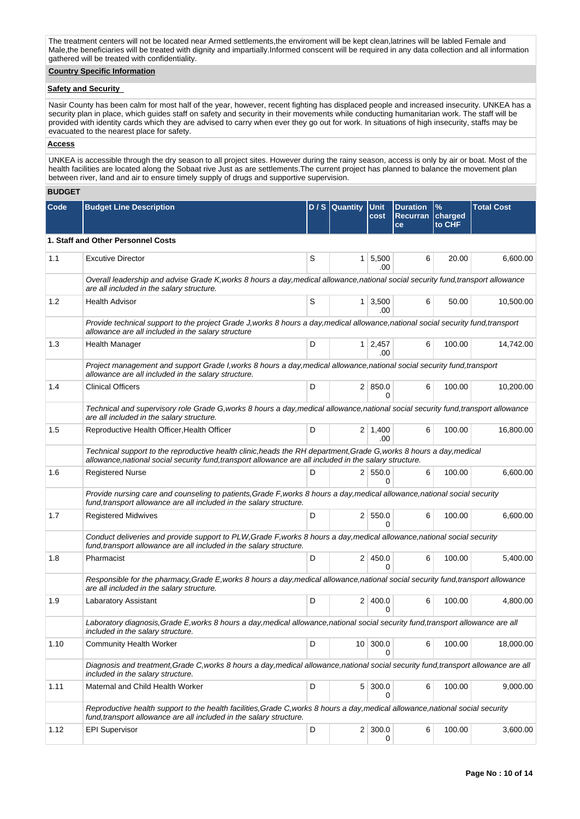The treatment centers will not be located near Armed settlements,the enviroment will be kept clean,latrines will be labled Female and Male,the beneficiaries will be treated with dignity and impartially.Informed conscent will be required in any data collection and all information gathered will be treated with confidentiality.

## **Country Specific Information**

## **Safety and Security**

Nasir County has been calm for most half of the year, however, recent fighting has displaced people and increased insecurity. UNKEA has a security plan in place, which guides staff on safety and security in their movements while conducting humanitarian work. The staff will be provided with identity cards which they are advised to carry when ever they go out for work. In situations of high insecurity, staffs may be evacuated to the nearest place for safety.

## **Access**

UNKEA is accessible through the dry season to all project sites. However during the rainy season, access is only by air or boat. Most of the health facilities are located along the Sobaat rive Just as are settlements.The current project has planned to balance the movement plan between river, land and air to ensure timely supply of drugs and supportive supervision.

## **BUDGET**

| Code | <b>Budget Line Description</b>                                                                                                                                                                                                 |   | D/S Quantity   | <b>Unit</b><br>cost          | <b>Duration</b><br>Recurran charged<br>ce | $\frac{9}{6}$<br>to CHF | <b>Total Cost</b> |  |
|------|--------------------------------------------------------------------------------------------------------------------------------------------------------------------------------------------------------------------------------|---|----------------|------------------------------|-------------------------------------------|-------------------------|-------------------|--|
|      | 1. Staff and Other Personnel Costs                                                                                                                                                                                             |   |                |                              |                                           |                         |                   |  |
| 1.1  | <b>Excutive Director</b>                                                                                                                                                                                                       | S |                | $1 \mid 5,500$<br>.00        | 6                                         | 20.00                   | 6,600.00          |  |
|      | Overall leadership and advise Grade K, works 8 hours a day, medical allowance, national social security fund, transport allowance<br>are all included in the salary structure.                                                 |   |                |                              |                                           |                         |                   |  |
| 1.2  | <b>Health Advisor</b>                                                                                                                                                                                                          | S |                | $1 \mid 3,500$<br>.00        | 6                                         | 50.00                   | 10,500.00         |  |
|      | Provide technical support to the project Grade J, works 8 hours a day, medical allowance, national social security fund, transport<br>allowance are all included in the salary structure                                       |   |                |                              |                                           |                         |                   |  |
| 1.3  | Health Manager                                                                                                                                                                                                                 | D |                | $1 \overline{)2,457}$<br>.00 | 6                                         | 100.00                  | 14,742.00         |  |
|      | Project management and support Grade I, works 8 hours a day, medical allowance, national social security fund, transport<br>allowance are all included in the salary structure.                                                |   |                |                              |                                           |                         |                   |  |
| 1.4  | <b>Clinical Officers</b>                                                                                                                                                                                                       | D |                | 2   850.0<br>$\Omega$        | 6                                         | 100.00                  | 10,200.00         |  |
|      | Technical and supervisory role Grade G, works 8 hours a day, medical allowance, national social security fund, transport allowance<br>are all included in the salary structure.                                                |   |                |                              |                                           |                         |                   |  |
| 1.5  | Reproductive Health Officer, Health Officer                                                                                                                                                                                    | D |                | $2 \mid 1,400$<br>.00        | 6                                         | 100.00                  | 16,800.00         |  |
|      | Technical support to the reproductive health clinic, heads the RH department, Grade G, works 8 hours a day, medical<br>allowance, national social security fund, transport allowance are all included in the salary structure. |   |                |                              |                                           |                         |                   |  |
| 1.6  | <b>Registered Nurse</b>                                                                                                                                                                                                        | D |                | 2   550.0<br>0               | 6                                         | 100.00                  | 6,600.00          |  |
|      | Provide nursing care and counseling to patients, Grade F, works 8 hours a day, medical allowance, national social security<br>fund, transport allowance are all included in the salary structure.                              |   |                |                              |                                           |                         |                   |  |
| 1.7  | <b>Registered Midwives</b>                                                                                                                                                                                                     | D |                | 2 550.0<br>$\Omega$          | 6                                         | 100.00                  | 6,600.00          |  |
|      | Conduct deliveries and provide support to PLW, Grade F, works 8 hours a day, medical allowance, national social security<br>fund, transport allowance are all included in the salary structure.                                |   |                |                              |                                           |                         |                   |  |
| 1.8  | Pharmacist                                                                                                                                                                                                                     | D |                | 2 450.0                      | 6                                         | 100.00                  | 5,400.00          |  |
|      | Responsible for the pharmacy, Grade E, works 8 hours a day, medical allowance, national social security fund, transport allowance<br>are all included in the salary structure.                                                 |   |                |                              |                                           |                         |                   |  |
| 1.9  | Labaratory Assistant                                                                                                                                                                                                           | D |                | 2 400.0<br>U                 | 6                                         | 100.00                  | 4,800.00          |  |
|      | Laboratory diagnosis, Grade E, works 8 hours a day, medical allowance, national social security fund, transport allowance are all<br>included in the salary structure.                                                         |   |                |                              |                                           |                         |                   |  |
| 1.10 | <b>Community Health Worker</b>                                                                                                                                                                                                 | D | $10-1$         | 300.0                        | 6                                         | 100.00                  | 18,000.00         |  |
|      | Diagnosis and treatment, Grade C, works 8 hours a day, medical allowance, national social security fund, transport allowance are all<br>included in the salary structure.                                                      |   |                |                              |                                           |                         |                   |  |
| 1.11 | Maternal and Child Health Worker                                                                                                                                                                                               | D | 5 <sup>2</sup> | 300.0<br>0                   | 6                                         | 100.00                  | 9,000.00          |  |
|      | Reproductive health support to the health facilities, Grade C, works 8 hours a day, medical allowance, national social security<br>fund, transport allowance are all included in the salary structure.                         |   |                |                              |                                           |                         |                   |  |
| 1.12 | <b>EPI Supervisor</b>                                                                                                                                                                                                          | D | 2 <sub>1</sub> | 300.0<br>0                   | 6                                         | 100.00                  | 3,600.00          |  |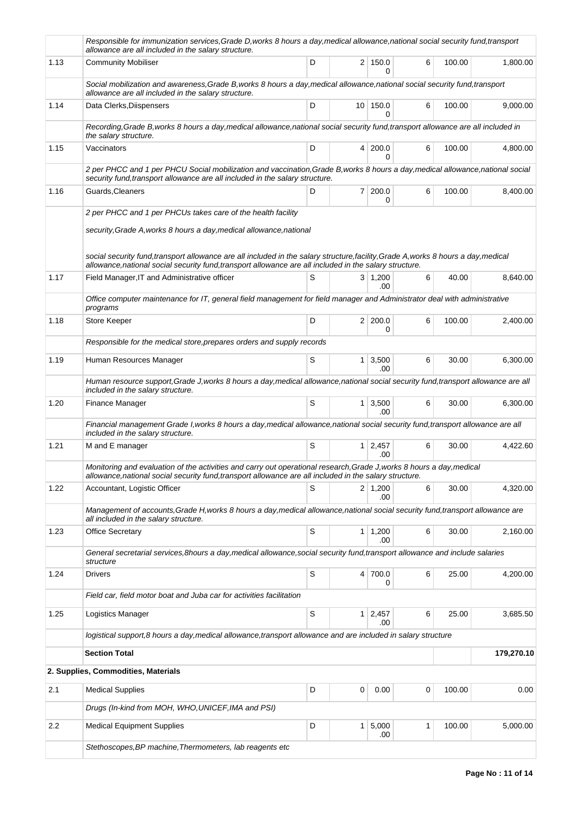|      | Responsible for immunization services, Grade D, works 8 hours a day, medical allowance, national social security fund, transport<br>allowance are all included in the salary structure.                                                        |   |   |                        |   |        |            |
|------|------------------------------------------------------------------------------------------------------------------------------------------------------------------------------------------------------------------------------------------------|---|---|------------------------|---|--------|------------|
| 1.13 | <b>Community Mobiliser</b>                                                                                                                                                                                                                     | D |   | 2 150.0<br>0           | 6 | 100.00 | 1,800.00   |
|      | Social mobilization and awareness, Grade B, works 8 hours a day, medical allowance, national social security fund, transport<br>allowance are all included in the salary structure.                                                            |   |   |                        |   |        |            |
| 1.14 | Data Clerks, Diispensers                                                                                                                                                                                                                       | D |   | 10 150.0<br>$\Omega$   | 6 | 100.00 | 9,000.00   |
|      | Recording, Grade B, works 8 hours a day, medical allowance, national social security fund, transport allowance are all included in<br>the salary structure.                                                                                    |   |   |                        |   |        |            |
| 1.15 | Vaccinators                                                                                                                                                                                                                                    | D |   | 4 200.0<br>0           | 6 | 100.00 | 4,800.00   |
|      | 2 per PHCC and 1 per PHCU Social mobilization and vaccination, Grade B, works 8 hours a day, medical allowance, national social<br>security fund, transport allowance are all included in the salary structure.                                |   |   |                        |   |        |            |
| 1.16 | Guards, Cleaners                                                                                                                                                                                                                               | D |   | $7 \mid 200.0$<br>0    | 6 | 100.00 | 8,400.00   |
|      | 2 per PHCC and 1 per PHCUs takes care of the health facility                                                                                                                                                                                   |   |   |                        |   |        |            |
|      | security, Grade A, works 8 hours a day, medical allowance, national                                                                                                                                                                            |   |   |                        |   |        |            |
|      | social security fund, transport allowance are all included in the salary structure, facility, Grade A, works 8 hours a day, medical<br>allowance, national social security fund, transport allowance are all included in the salary structure. |   |   |                        |   |        |            |
| 1.17 | Field Manager, IT and Administrative officer                                                                                                                                                                                                   | S |   | $3 \mid 1,200$         | 6 | 40.00  | 8,640.00   |
|      | Office computer maintenance for IT, general field management for field manager and Administrator deal with administrative                                                                                                                      |   |   | .00                    |   |        |            |
| 1.18 | programs<br>Store Keeper                                                                                                                                                                                                                       | D |   | 2 200.0                | 6 | 100.00 | 2,400.00   |
|      | Responsible for the medical store, prepares orders and supply records                                                                                                                                                                          |   |   | 0                      |   |        |            |
| 1.19 | Human Resources Manager                                                                                                                                                                                                                        | S |   | $1 \mid 3,500$         | 6 | 30.00  | 6,300.00   |
|      | Human resource support, Grade J, works 8 hours a day, medical allowance, national social security fund, transport allowance are all                                                                                                            |   |   | .00                    |   |        |            |
| 1.20 | included in the salary structure.<br>Finance Manager                                                                                                                                                                                           | S |   | 1 3,500                | 6 | 30.00  | 6,300.00   |
|      | Financial management Grade I, works 8 hours a day, medical allowance, national social security fund, transport allowance are all                                                                                                               |   |   | .00.                   |   |        |            |
| 1.21 | included in the salary structure.<br>M and E manager                                                                                                                                                                                           | S |   | $1 \mid 2,457$         | 6 | 30.00  | 4,422.60   |
|      | Monitoring and evaluation of the activities and carry out operational research, Grade J, works 8 hours a day, medical                                                                                                                          |   |   | .00.                   |   |        |            |
|      | allowance, national social security fund, transport allowance are all included in the salary structure.                                                                                                                                        |   |   |                        |   |        |            |
| 1.22 | Accountant, Logistic Officer                                                                                                                                                                                                                   | S |   | $2 \mid 1,200$<br>.00  | 6 | 30.00  | 4,320.00   |
|      | Management of accounts, Grade H, works 8 hours a day, medical allowance, national social security fund, transport allowance are<br>all included in the salary structure.                                                                       |   |   |                        |   |        |            |
| 1.23 | Office Secretary                                                                                                                                                                                                                               | S |   | $1 \mid 1,200$<br>.00. | 6 | 30.00  | 2,160.00   |
|      | General secretarial services, 8hours a day, medical allowance, social security fund, transport allowance and include salaries<br>structure                                                                                                     |   |   |                        |   |        |            |
| 1.24 | Drivers                                                                                                                                                                                                                                        | S |   | 4 700.0<br>0           | 6 | 25.00  | 4,200.00   |
|      | Field car, field motor boat and Juba car for activities facilitation                                                                                                                                                                           |   |   |                        |   |        |            |
| 1.25 | Logistics Manager                                                                                                                                                                                                                              | S |   | $1 \mid 2,457$<br>.00  | 6 | 25.00  | 3,685.50   |
|      | logistical support,8 hours a day, medical allowance, transport allowance and are included in salary structure                                                                                                                                  |   |   |                        |   |        |            |
|      | <b>Section Total</b>                                                                                                                                                                                                                           |   |   |                        |   |        | 179,270.10 |
|      | 2. Supplies, Commodities, Materials                                                                                                                                                                                                            |   |   |                        |   |        |            |
| 2.1  | <b>Medical Supplies</b>                                                                                                                                                                                                                        | D | 0 | 0.00                   | 0 | 100.00 | 0.00       |
|      | Drugs (In-kind from MOH, WHO, UNICEF, IMA and PSI)                                                                                                                                                                                             |   |   |                        |   |        |            |
| 2.2  | <b>Medical Equipment Supplies</b>                                                                                                                                                                                                              | D |   | 1 5,000<br>.00         | 1 | 100.00 | 5,000.00   |
|      | Stethoscopes, BP machine, Thermometers, lab reagents etc                                                                                                                                                                                       |   |   |                        |   |        |            |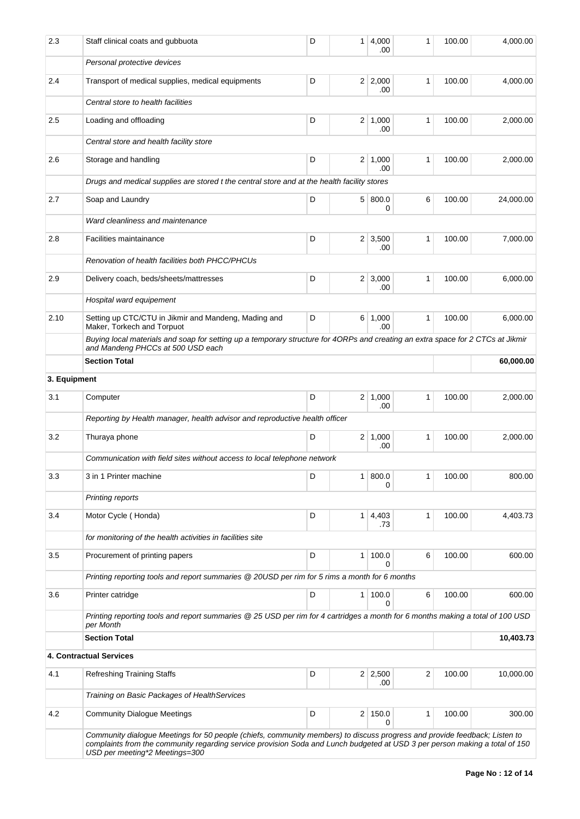| 2.3          | Staff clinical coats and gubbuota                                                                                                                                                                                                                                                          | D | 1 <sup>1</sup> | 4,000<br>.00          | 1            | 100.00 | 4,000.00  |
|--------------|--------------------------------------------------------------------------------------------------------------------------------------------------------------------------------------------------------------------------------------------------------------------------------------------|---|----------------|-----------------------|--------------|--------|-----------|
|              | Personal protective devices                                                                                                                                                                                                                                                                |   |                |                       |              |        |           |
| 2.4          | Transport of medical supplies, medical equipments                                                                                                                                                                                                                                          | D |                | $2 \mid 2,000$<br>.00 | 1            | 100.00 | 4,000.00  |
|              | Central store to health facilities                                                                                                                                                                                                                                                         |   |                |                       |              |        |           |
| 2.5          | Loading and offloading                                                                                                                                                                                                                                                                     | D |                | $2 \mid 1,000$<br>.00 | $\mathbf{1}$ | 100.00 | 2,000.00  |
|              | Central store and health facility store                                                                                                                                                                                                                                                    |   |                |                       |              |        |           |
| 2.6          | Storage and handling                                                                                                                                                                                                                                                                       | D | 2 <sup>2</sup> | 1.000<br>.00          | 1            | 100.00 | 2,000.00  |
|              | Drugs and medical supplies are stored t the central store and at the health facility stores                                                                                                                                                                                                |   |                |                       |              |        |           |
| 2.7          | Soap and Laundry                                                                                                                                                                                                                                                                           | D |                | 5 800.0<br>0          | 6            | 100.00 | 24,000.00 |
|              | Ward cleanliness and maintenance                                                                                                                                                                                                                                                           |   |                |                       |              |        |           |
| 2.8          | Facilities maintainance                                                                                                                                                                                                                                                                    | D |                | $2 \mid 3,500$<br>.00 | 1            | 100.00 | 7,000.00  |
|              | Renovation of health facilities both PHCC/PHCUs                                                                                                                                                                                                                                            |   |                |                       |              |        |           |
| 2.9          | Delivery coach, beds/sheets/mattresses                                                                                                                                                                                                                                                     | D | 2 <sup>1</sup> | 3,000<br>.00          | $\mathbf{1}$ | 100.00 | 6.000.00  |
|              | Hospital ward equipement                                                                                                                                                                                                                                                                   |   |                |                       |              |        |           |
| 2.10         | Setting up CTC/CTU in Jikmir and Mandeng, Mading and<br>Maker, Torkech and Torpuot                                                                                                                                                                                                         | D | 6              | 1,000<br>.00          | $\mathbf{1}$ | 100.00 | 6,000.00  |
|              | Buying local materials and soap for setting up a temporary structure for 4ORPs and creating an extra space for 2 CTCs at Jikmir<br>and Mandeng PHCCs at 500 USD each                                                                                                                       |   |                |                       |              |        |           |
|              | <b>Section Total</b>                                                                                                                                                                                                                                                                       |   |                |                       |              |        | 60,000.00 |
| 3. Equipment |                                                                                                                                                                                                                                                                                            |   |                |                       |              |        |           |
| 3.1          | Computer                                                                                                                                                                                                                                                                                   | D |                | $2 \mid 1,000$<br>.00 | 1            | 100.00 | 2,000.00  |
|              | Reporting by Health manager, health advisor and reproductive health officer                                                                                                                                                                                                                |   |                |                       |              |        |           |
| 3.2          | Thuraya phone                                                                                                                                                                                                                                                                              | D |                | $2 \mid 1,000$<br>.00 | 1            | 100.00 | 2,000.00  |
|              | Communication with field sites without access to local telephone network                                                                                                                                                                                                                   |   |                |                       |              |        |           |
| 3.3          | 3 in 1 Printer machine                                                                                                                                                                                                                                                                     | D | 1 <sup>1</sup> | 800.0<br>0            | 1            | 100.00 | 800.00    |
|              | Printing reports                                                                                                                                                                                                                                                                           |   |                |                       |              |        |           |
| 3.4          | Motor Cycle (Honda)                                                                                                                                                                                                                                                                        | D | 1 <sup>1</sup> | 4,403<br>.73          | 1            | 100.00 | 4,403.73  |
|              | for monitoring of the health activities in facilities site                                                                                                                                                                                                                                 |   |                |                       |              |        |           |
| 3.5          | Procurement of printing papers                                                                                                                                                                                                                                                             | D | 1 <sup>1</sup> | 100.0<br>0            | 6            | 100.00 | 600.00    |
|              | Printing reporting tools and report summaries @ 20USD per rim for 5 rims a month for 6 months                                                                                                                                                                                              |   |                |                       |              |        |           |
| 3.6          | Printer catridge                                                                                                                                                                                                                                                                           | D | 1 <sup>1</sup> | 100.0<br>0            | 6            | 100.00 | 600.00    |
|              | Printing reporting tools and report summaries @ 25 USD per rim for 4 cartridges a month for 6 months making a total of 100 USD<br>per Month                                                                                                                                                |   |                |                       |              |        |           |
|              | <b>Section Total</b>                                                                                                                                                                                                                                                                       |   |                |                       |              |        | 10,403.73 |
|              | 4. Contractual Services                                                                                                                                                                                                                                                                    |   |                |                       |              |        |           |
| 4.1          | <b>Refreshing Training Staffs</b>                                                                                                                                                                                                                                                          | D |                | 2 2,500<br>.00        | 2            | 100.00 | 10,000.00 |
|              | Training on Basic Packages of HealthServices                                                                                                                                                                                                                                               |   |                |                       |              |        |           |
| 4.2          | <b>Community Dialogue Meetings</b>                                                                                                                                                                                                                                                         | D | $\overline{2}$ | 150.0<br>0            | 1            | 100.00 | 300.00    |
|              | Community dialogue Meetings for 50 people (chiefs, community members) to discuss progress and provide feedback; Listen to<br>complaints from the community regarding service provision Soda and Lunch budgeted at USD 3 per person making a total of 150<br>USD per meeting*2 Meetings=300 |   |                |                       |              |        |           |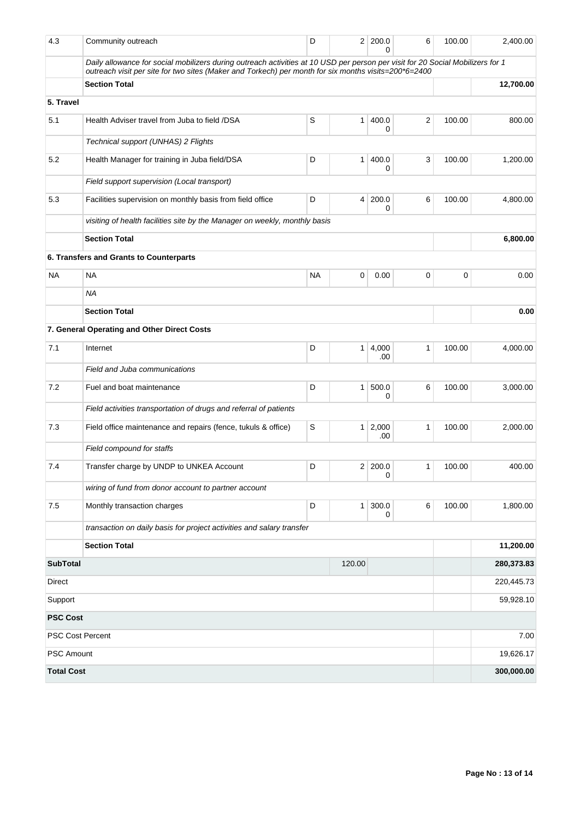| 4.3               | Community outreach                                                                                                                                                                                                                     | D         | 2 <sup>1</sup> | 200.0<br>ი   | 6              | 100.00 | 2,400.00   |
|-------------------|----------------------------------------------------------------------------------------------------------------------------------------------------------------------------------------------------------------------------------------|-----------|----------------|--------------|----------------|--------|------------|
|                   | Daily allowance for social mobilizers during outreach activities at 10 USD per person per visit for 20 Social Mobilizers for 1<br>outreach visit per site for two sites (Maker and Torkech) per month for six months visits=200*6=2400 |           |                |              |                |        |            |
|                   | <b>Section Total</b>                                                                                                                                                                                                                   |           |                |              |                |        | 12,700.00  |
| 5. Travel         |                                                                                                                                                                                                                                        |           |                |              |                |        |            |
| 5.1               | Health Adviser travel from Juba to field /DSA                                                                                                                                                                                          | S         | 1              | 400.0<br>0   | $\overline{2}$ | 100.00 | 800.00     |
|                   | Technical support (UNHAS) 2 Flights                                                                                                                                                                                                    |           |                |              |                |        |            |
| 5.2               | Health Manager for training in Juba field/DSA                                                                                                                                                                                          | D         | 1              | 400.0<br>0   | 3              | 100.00 | 1,200.00   |
|                   | Field support supervision (Local transport)                                                                                                                                                                                            |           |                |              |                |        |            |
| 5.3               | Facilities supervision on monthly basis from field office                                                                                                                                                                              | D         | 4              | 200.0<br>0   | 6              | 100.00 | 4,800.00   |
|                   | visiting of health facilities site by the Manager on weekly, monthly basis                                                                                                                                                             |           |                |              |                |        |            |
|                   | <b>Section Total</b>                                                                                                                                                                                                                   |           |                |              |                |        | 6,800.00   |
|                   | 6. Transfers and Grants to Counterparts                                                                                                                                                                                                |           |                |              |                |        |            |
| <b>NA</b>         | <b>NA</b>                                                                                                                                                                                                                              | <b>NA</b> | 0              | 0.00         | 0              | 0      | 0.00       |
|                   | <b>NA</b>                                                                                                                                                                                                                              |           |                |              |                |        |            |
|                   | <b>Section Total</b>                                                                                                                                                                                                                   |           |                |              |                |        | 0.00       |
|                   | 7. General Operating and Other Direct Costs                                                                                                                                                                                            |           |                |              |                |        |            |
| 7.1               | Internet                                                                                                                                                                                                                               | D         | 1 <sup>1</sup> | 4,000<br>.00 | 1              | 100.00 | 4,000.00   |
|                   | Field and Juba communications                                                                                                                                                                                                          |           |                |              |                |        |            |
| 7.2               | Fuel and boat maintenance                                                                                                                                                                                                              | D         | $\mathbf{1}$   | 500.0<br>0   | 6              | 100.00 | 3,000.00   |
|                   | Field activities transportation of drugs and referral of patients                                                                                                                                                                      |           |                |              |                |        |            |
| 7.3               | Field office maintenance and repairs (fence, tukuls & office)                                                                                                                                                                          | S         | 1 <sup>1</sup> | 2,000<br>.00 | 1              | 100.00 | 2,000.00   |
|                   | Field compound for staffs                                                                                                                                                                                                              |           |                |              |                |        |            |
| 7.4               | Transfer charge by UNDP to UNKEA Account                                                                                                                                                                                               | D         | 2 <sup>2</sup> | 200.0<br>0   | 1              | 100.00 | 400.00     |
|                   | wiring of fund from donor account to partner account                                                                                                                                                                                   |           |                |              |                |        |            |
| 7.5               | Monthly transaction charges                                                                                                                                                                                                            | D         | 1 <sup>1</sup> | 300.0<br>0   | 6              | 100.00 | 1,800.00   |
|                   | transaction on daily basis for project activities and salary transfer                                                                                                                                                                  |           |                |              |                |        |            |
|                   | <b>Section Total</b>                                                                                                                                                                                                                   |           |                |              |                |        | 11,200.00  |
| <b>SubTotal</b>   |                                                                                                                                                                                                                                        |           | 120.00         |              |                |        | 280,373.83 |
| Direct            |                                                                                                                                                                                                                                        |           |                |              |                |        | 220,445.73 |
| Support           |                                                                                                                                                                                                                                        |           |                |              |                |        | 59,928.10  |
| <b>PSC Cost</b>   |                                                                                                                                                                                                                                        |           |                |              |                |        |            |
|                   | <b>PSC Cost Percent</b>                                                                                                                                                                                                                |           |                |              |                |        | 7.00       |
| <b>PSC Amount</b> |                                                                                                                                                                                                                                        |           |                |              |                |        | 19,626.17  |
| <b>Total Cost</b> |                                                                                                                                                                                                                                        |           |                |              |                |        | 300,000.00 |